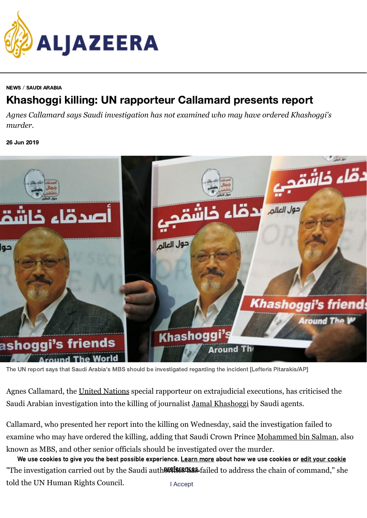

## [NEWS](https://www.aljazeera.com/news/) / SAUDI [ARABIA](https://www.aljazeera.com/topics/country/saudi-arabia.html)

## Khashoggi killing: UN rapporteur Callamard presents report

*Agnes Callamard says Saudi investigation has not examined who may have ordered Khashoggi's murder.*

26 Jun 2019



The UN report says that Saudi Arabia's MBS should be investigated regarding the incident [Lefteris Pitarakis/AP]

Agnes Callamard, the [United Nations](https://www.aljazeera.com/topics/organisations/un.html) special rapporteur on extrajudicial executions, has criticised the Saudi Arabian investigation into the killing of journalist [Jamal Khashoggi](https://www.aljazeera.com/topics/people/jamal-khashoggi.html) by Saudi agents.

Callamard, who presented her report into the killing on Wednesday, said the investigation failed to examine who may have ordered the killing, adding that Saudi Crown Prince [Mohammed bin Salman](https://www.aljazeera.com/topics/people/mohammed-bin-salman.html), also known as MBS, and other senior officials should be investigated over the murder.

"The investigation carried out by the Saudi auth<del>8IIfIESIK&S</del> failed to address the chain of command," she told the UN Human Rights Council. We use cookies to give you the best possible experience. [Learn](https://network.aljazeera.com/cookies/en) more about how we use cookies or edit your cookie I Accept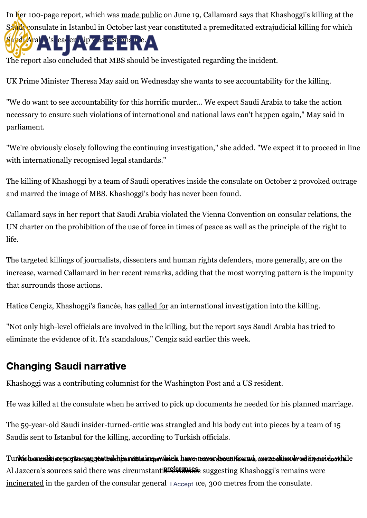[In her 100-page report, which was](https://www.aljazeera.com/) [made public](https://www.aljazeera.com/news/2019/06/khashoggi-executive-summary-callamard-report-190619105102019.html) on June 19, Callamard says that Khashoggi's killing at the Saudi consulate in Istanbul in October last year constituted a premeditated extrajudicial killing for which Saudi Arabia's leader<sup>ship was res</sup>ponsible.

The report also concluded that MBS should be investigated regarding the incident.

UK Prime Minister Theresa May said on Wednesday she wants to see accountability for the killing.

"We do want to see accountability for this horrific murder... We expect Saudi Arabia to take the action necessary to ensure such violations of international and national laws can't happen again," May said in parliament.

"We're obviously closely following the continuing investigation," she added. "We expect it to proceed in line with internationally recognised legal standards."

The killing of Khashoggi by a team of Saudi operatives inside the consulate on October 2 provoked outrage and marred the image of MBS. Khashoggi's body has never been found.

Callamard says in her report that Saudi Arabia violated the Vienna Convention on consular relations, the UN charter on the prohibition of the use of force in times of peace as well as the principle of the right to life.

The targeted killings of journalists, dissenters and human rights defenders, more generally, are on the increase, warned Callamard in her recent remarks, adding that the most worrying pattern is the impunity that surrounds those actions.

Hatice Cengiz, Khashoggi's fiancée, has [called for](https://www.aljazeera.com/news/2019/06/hatice-cengiz-action-khashoggi-murder-190625121023903.html) an international investigation into the killing.

"Not only high-level officials are involved in the killing, but the report says Saudi Arabia has tried to eliminate the evidence of it. It's scandalous," Cengiz said earlier this week.

## Changing Saudi narrative

Khashoggi was a contributing columnist for the Washington Post and a US resident.

He was killed at the consulate when he arrived to pick up documents he needed for his planned marriage.

The 59-year-old Saudi insider-turned-critic was strangled and his body cut into pieces by a team of 15 Saudis sent to Istanbul for the killing, according to Turkish officials.

Turkish sere diktas pogive yogginet besh jos sibile ier perience. <u>hearn more</u>r docon how we, we readities or <u>editry amid a orkhe</u>lle Al Jazeera's sources said there was circumstanti**areferacese** suggesting Khashoggi's remains were [incinerated](https://www.aljazeera.com/news/2019/03/jamal-khashoggi-body-burned-large-oven-saudi-home-190304011823218.html) in the garden of the consular general | Accept Ice, 300 metres from the consulate.